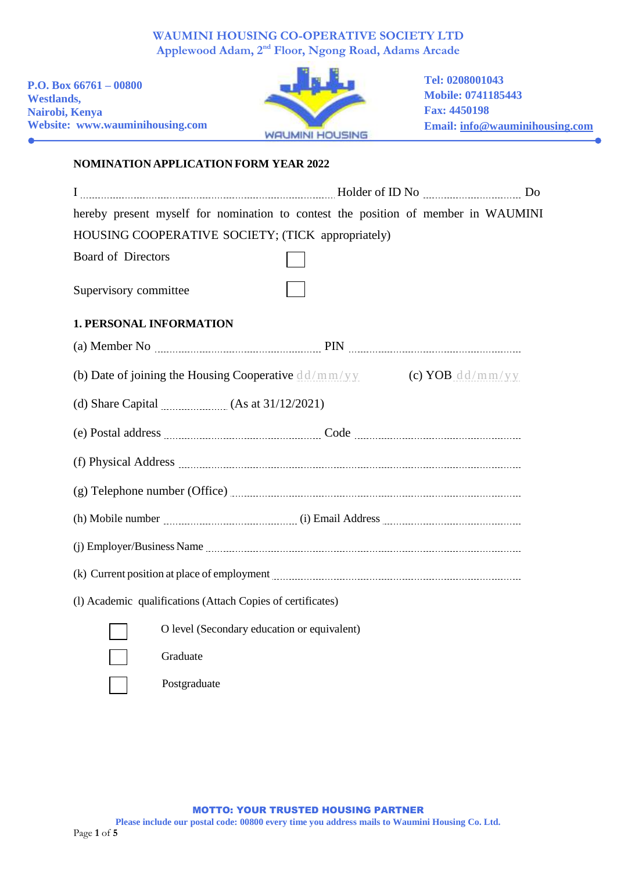# **WAUMINI HOUSING CO-OPERATIVE SOCIETY LTD Applewood Adam, 2nd Floor, Ngong Road, Adams Arcade**

**P.O. Box 66761 – 00800 Westlands, Nairobi, Kenya Website: www.wauminihousing.com**

 $\bullet$ 



**Tel: 0208001043 Mobile: 0741185443 Fax: 4450198 Email: [info@wauminihousing.com](mailto:info@wauminihousing.com)**

# **NOMINATION APPLICATION FORM YEAR 2022**

| hereby present myself for nomination to contest the position of member in WAUMINI                                                                                                                                                         |                    |  |
|-------------------------------------------------------------------------------------------------------------------------------------------------------------------------------------------------------------------------------------------|--------------------|--|
| HOUSING COOPERATIVE SOCIETY; (TICK appropriately)                                                                                                                                                                                         |                    |  |
| <b>Board of Directors</b>                                                                                                                                                                                                                 |                    |  |
| Supervisory committee                                                                                                                                                                                                                     |                    |  |
| <b>1. PERSONAL INFORMATION</b>                                                                                                                                                                                                            |                    |  |
|                                                                                                                                                                                                                                           |                    |  |
| (b) Date of joining the Housing Cooperative $dd/mm/yy$                                                                                                                                                                                    | (c) YOB $dd/mm/yy$ |  |
| (d) Share Capital $\ldots$ (As at 31/12/2021)                                                                                                                                                                                             |                    |  |
|                                                                                                                                                                                                                                           |                    |  |
|                                                                                                                                                                                                                                           |                    |  |
|                                                                                                                                                                                                                                           |                    |  |
| (h) Mobile number <i>machine machine (i)</i> Email Address <i>machine machine machine machine machine machine machine machine machine machine machine machine machine machine machine machine machine machine machine machine machine</i> |                    |  |
|                                                                                                                                                                                                                                           |                    |  |
|                                                                                                                                                                                                                                           |                    |  |
| (1) Academic qualifications (Attach Copies of certificates)                                                                                                                                                                               |                    |  |
| O level (Secondary education or equivalent)                                                                                                                                                                                               |                    |  |
| Graduate                                                                                                                                                                                                                                  |                    |  |
| Postgraduate                                                                                                                                                                                                                              |                    |  |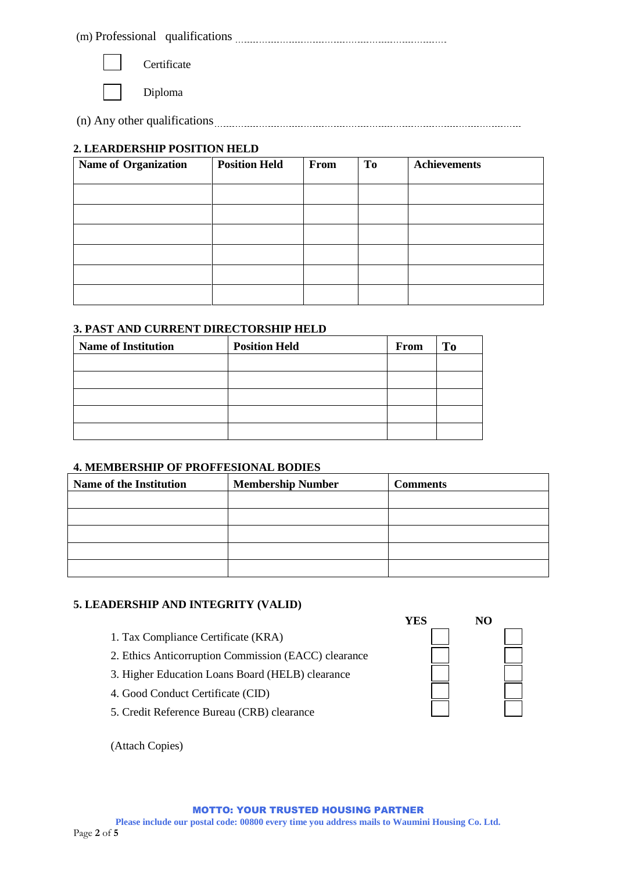(m) Professional qualifications



**Certificate** 

Diploma

(n) Any other qualifications

### **2. LEARDERSHIP POSITION HELD**

| <b>Name of Organization</b> | <b>Position Held</b> | From | To | <b>Achievements</b> |
|-----------------------------|----------------------|------|----|---------------------|
|                             |                      |      |    |                     |
|                             |                      |      |    |                     |
|                             |                      |      |    |                     |
|                             |                      |      |    |                     |
|                             |                      |      |    |                     |
|                             |                      |      |    |                     |

### **3. PAST AND CURRENT DIRECTORSHIP HELD**

| <b>Name of Institution</b> | <b>Position Held</b> | From | <b>To</b> |
|----------------------------|----------------------|------|-----------|
|                            |                      |      |           |
|                            |                      |      |           |
|                            |                      |      |           |
|                            |                      |      |           |
|                            |                      |      |           |

### **4. MEMBERSHIP OF PROFFESIONAL BODIES**

| <b>Name of the Institution</b> | <b>Membership Number</b> | <b>Comments</b> |
|--------------------------------|--------------------------|-----------------|
|                                |                          |                 |
|                                |                          |                 |
|                                |                          |                 |
|                                |                          |                 |
|                                |                          |                 |

### **5. LEADERSHIP AND INTEGRITY (VALID)**

- 1. Tax Compliance Certificate (KRA)
- 2. Ethics Anticorruption Commission (EACC) clearance
- 3. Higher Education Loans Board (HELB) clearance
- 4. Good Conduct Certificate (CID)
- 5. Credit Reference Bureau (CRB) clearance

(Attach Copies)

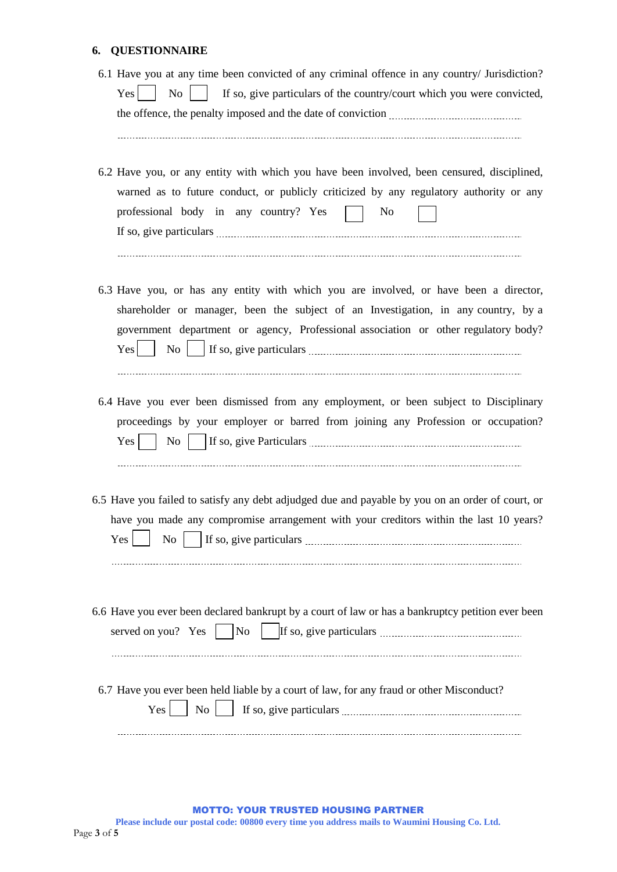# **6. QUESTIONNAIRE**

| 6.1 Have you at any time been convicted of any criminal offence in any country/ Jurisdiction?<br>If so, give particulars of the country/court which you were convicted,<br>No<br>Yes                                                                                            |
|---------------------------------------------------------------------------------------------------------------------------------------------------------------------------------------------------------------------------------------------------------------------------------|
| 6.2 Have you, or any entity with which you have been involved, been censured, disciplined,<br>warned as to future conduct, or publicly criticized by any regulatory authority or any<br>professional body in any country? Yes<br>N <sub>o</sub>                                 |
| 6.3 Have you, or has any entity with which you are involved, or have been a director,<br>shareholder or manager, been the subject of an Investigation, in any country, by a<br>government department or agency, Professional association or other regulatory body?<br>No<br>Yes |
| 6.4 Have you ever been dismissed from any employment, or been subject to Disciplinary<br>proceedings by your employer or barred from joining any Profession or occupation?<br>$\overline{N_{0}}$<br>Yes                                                                         |
| 6.5 Have you failed to satisfy any debt adjudged due and payable by you on an order of court, or<br>have you made any compromise arrangement with your creditors within the last 10 years?<br>Yes<br>N <sub>o</sub>                                                             |
| 6.6 Have you ever been declared bankrupt by a court of law or has a bankruptcy petition ever been<br>served on you? Yes<br>N <sub>o</sub>                                                                                                                                       |
| 6.7 Have you ever been held liable by a court of law, for any fraud or other Misconduct?<br>Yes<br>No                                                                                                                                                                           |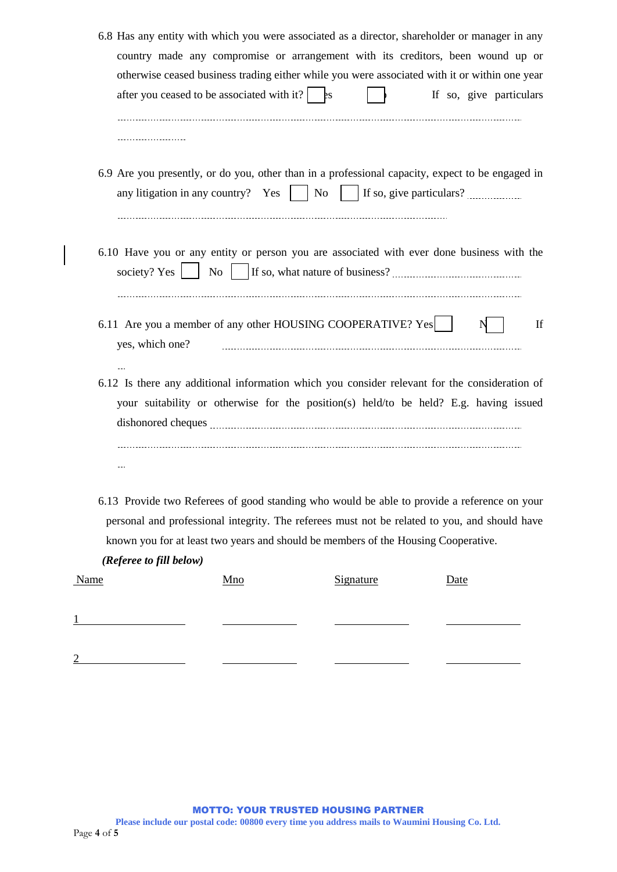|             | 6.8 Has any entity with which you were associated as a director, shareholder or manager in any<br>country made any compromise or arrangement with its creditors, been wound up or<br>otherwise ceased business trading either while you were associated with it or within one year |            |    |           |                          |                         |
|-------------|------------------------------------------------------------------------------------------------------------------------------------------------------------------------------------------------------------------------------------------------------------------------------------|------------|----|-----------|--------------------------|-------------------------|
|             | after you ceased to be associated with it? $\Big $ $\Big $ is                                                                                                                                                                                                                      |            |    |           |                          | If so, give particulars |
|             |                                                                                                                                                                                                                                                                                    |            |    |           |                          |                         |
|             | 6.9 Are you presently, or do you, other than in a professional capacity, expect to be engaged in<br>any litigation in any country? Yes                                                                                                                                             |            | No |           | If so, give particulars? |                         |
|             | 6.10 Have you or any entity or person you are associated with ever done business with the<br>society? Yes                                                                                                                                                                          | No         |    |           |                          |                         |
|             | 6.11 Are you a member of any other HOUSING COOPERATIVE? Yes<br>yes, which one?                                                                                                                                                                                                     |            |    |           |                          | If                      |
|             | 6.12 Is there any additional information which you consider relevant for the consideration of<br>your suitability or otherwise for the position(s) held/to be held? E.g. having issued                                                                                             |            |    |           |                          |                         |
|             | $\sim$                                                                                                                                                                                                                                                                             |            |    |           |                          |                         |
|             | 6.13 Provide two Referees of good standing who would be able to provide a reference on your<br>personal and professional integrity. The referees must not be related to you, and should have<br>known you for at least two years and should be members of the Housing Cooperative. |            |    |           |                          |                         |
|             | (Referee to fill below)                                                                                                                                                                                                                                                            |            |    |           |                          |                         |
| <b>Name</b> |                                                                                                                                                                                                                                                                                    | <u>Mno</u> |    | Signature | Date                     |                         |
|             |                                                                                                                                                                                                                                                                                    |            |    |           |                          |                         |
|             |                                                                                                                                                                                                                                                                                    |            |    |           |                          |                         |

 $\overline{\phantom{a}}$